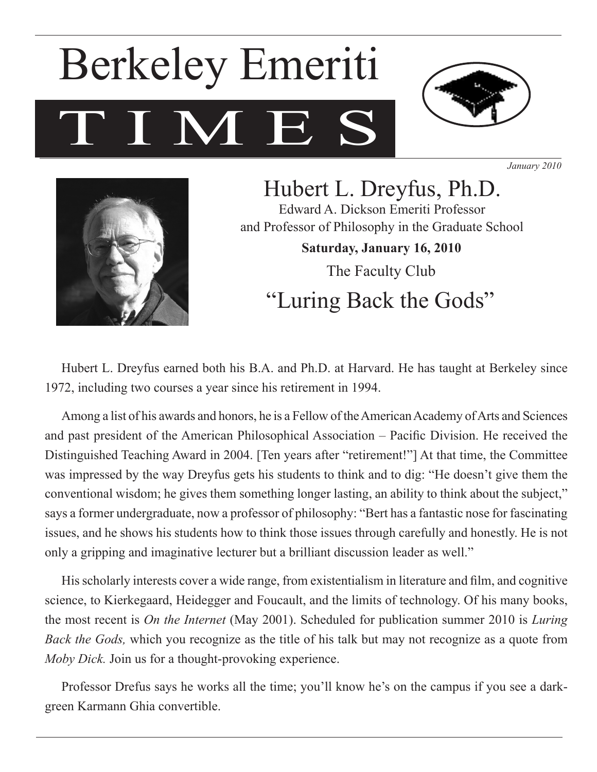# T M E Berkeley Emeriti



*January 2010*



Hubert L. Dreyfus, Ph.D. Edward A. Dickson Emeriti Professor and Professor of Philosophy in the Graduate School **Saturday, January 16, 2010** The Faculty Club "Luring Back the Gods"

Hubert L. Dreyfus earned both his B.A. and Ph.D. at Harvard. He has taught at Berkeley since 1972, including two courses a year since his retirement in 1994.

Among a list of his awards and honors, he is a Fellow of the American Academy of Arts and Sciences and past president of the American Philosophical Association – Pacific Division. He received the Distinguished Teaching Award in 2004. [Ten years after "retirement!"] At that time, the Committee was impressed by the way Dreyfus gets his students to think and to dig: "He doesn't give them the conventional wisdom; he gives them something longer lasting, an ability to think about the subject," says a former undergraduate, now a professor of philosophy: "Bert has a fantastic nose for fascinating issues, and he shows his students how to think those issues through carefully and honestly. He is not only a gripping and imaginative lecturer but a brilliant discussion leader as well."

His scholarly interests cover a wide range, from existentialism in literature and film, and cognitive science, to Kierkegaard, Heidegger and Foucault, and the limits of technology. Of his many books, the most recent is *On the Internet* (May 2001). Scheduled for publication summer 2010 is *Luring Back the Gods,* which you recognize as the title of his talk but may not recognize as a quote from *Moby Dick.* Join us for a thought-provoking experience.

Professor Drefus says he works all the time; you'll know he's on the campus if you see a darkgreen Karmann Ghia convertible.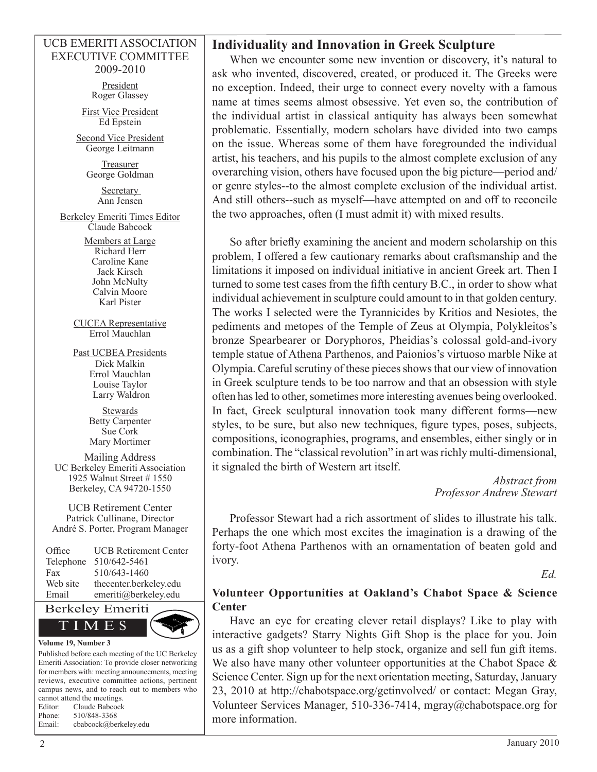#### UCB EMERITI ASSOCIATION EXECUTIVE COMMITTEE 2009-2010

President Roger Glassey

First Vice President Ed Epstein

Second Vice President George Leitmann

> Treasurer George Goldman

> > Secretary Ann Jensen

Berkeley Emeriti Times Editor Claude Babcock

> Members at Large Richard Herr Caroline Kane Jack Kirsch John McNulty Calvin Moore Karl Pister

CUCEA Representative Errol Mauchlan

Past UCBEA Presidents Dick Malkin Errol Mauchlan Louise Taylor Larry Waldron

> **Stewards** Betty Carpenter Sue Cork Mary Mortimer

Mailing Address UC Berkeley Emeriti Association 1925 Walnut Street # 1550 Berkeley, CA 94720-1550

UCB Retirement Center Patrick Cullinane, Director André S. Porter, Program Manager

| Office    | <b>UCB Retirement Center</b> |
|-----------|------------------------------|
| Telephone | 510/642-5461                 |
| Fax       | 510/643-1460                 |
| Web site  | thecenter.berkeley.edu       |
| Email     | emeriti@berkeley.edu         |
|           |                              |



Published before each meeting of the UC Berkeley Emeriti Association: To provide closer networking for members with: meeting announcements, meeting reviews, executive committee actions, pertinent campus news, and to reach out to members who cannot attend the meetings. Editor: Claude Babcock Phone: 510/848-3368

| Email: | cbabcock@berkeley.edu |
|--------|-----------------------|
|        |                       |

#### **Individuality and Innovation in Greek Sculpture**

When we encounter some new invention or discovery, it's natural to ask who invented, discovered, created, or produced it. The Greeks were no exception. Indeed, their urge to connect every novelty with a famous name at times seems almost obsessive. Yet even so, the contribution of the individual artist in classical antiquity has always been somewhat problematic. Essentially, modern scholars have divided into two camps on the issue. Whereas some of them have foregrounded the individual artist, his teachers, and his pupils to the almost complete exclusion of any overarching vision, others have focused upon the big picture—period and/ or genre styles--to the almost complete exclusion of the individual artist. And still others--such as myself—have attempted on and off to reconcile the two approaches, often (I must admit it) with mixed results.

So after briefly examining the ancient and modern scholarship on this problem, I offered a few cautionary remarks about craftsmanship and the limitations it imposed on individual initiative in ancient Greek art. Then I turned to some test cases from the fifth century B.C., in order to show what individual achievement in sculpture could amount to in that golden century. The works I selected were the Tyrannicides by Kritios and Nesiotes, the pediments and metopes of the Temple of Zeus at Olympia, Polykleitos's bronze Spearbearer or Doryphoros, Pheidias's colossal gold-and-ivory temple statue of Athena Parthenos, and Paionios's virtuoso marble Nike at Olympia. Careful scrutiny of these pieces shows that our view of innovation in Greek sculpture tends to be too narrow and that an obsession with style often has led to other, sometimes more interesting avenues being overlooked. In fact, Greek sculptural innovation took many different forms—new styles, to be sure, but also new techniques, figure types, poses, subjects, compositions, iconographies, programs, and ensembles, either singly or in combination. The "classical revolution" in art was richly multi-dimensional, it signaled the birth of Western art itself.

> *Abstract from Professor Andrew Stewart*

Professor Stewart had a rich assortment of slides to illustrate his talk. Perhaps the one which most excites the imagination is a drawing of the forty-foot Athena Parthenos with an ornamentation of beaten gold and ivory.

*Ed.*

#### **Volunteer Opportunities at Oakland's Chabot Space & Science Center**

Have an eye for creating clever retail displays? Like to play with interactive gadgets? Starry Nights Gift Shop is the place for you. Join us as a gift shop volunteer to help stock, organize and sell fun gift items. We also have many other volunteer opportunities at the Chabot Space  $\&$ Science Center. Sign up for the next orientation meeting, Saturday, January 23, 2010 at http://chabotspace.org/getinvolved/ or contact: Megan Gray, Volunteer Services Manager, 510-336-7414, mgray@chabotspace.org for more information.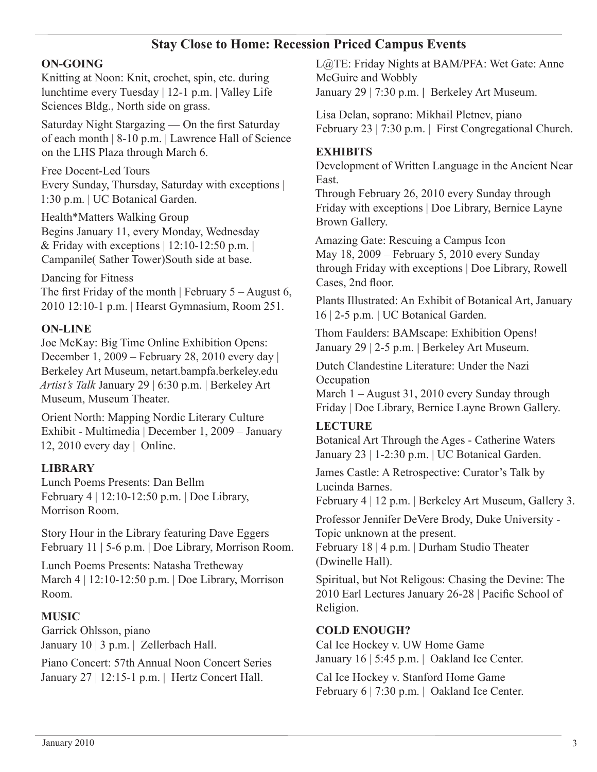# **Stay Close to Home: Recession Priced Campus Events**

## **ON-GOING**

Knitting at Noon: Knit, crochet, spin, etc. during lunchtime every Tuesday | 12-1 p.m. | Valley Life Sciences Bldg., North side on grass.

Saturday Night Stargazing — On the first Saturday of each month | 8-10 p.m. | Lawrence Hall of Science on the LHS Plaza through March 6.

Free Docent-Led Tours Every Sunday, Thursday, Saturday with exceptions | 1:30 p.m. | UC Botanical Garden.

Health\*Matters Walking Group Begins January 11, every Monday, Wednesday & Friday with exceptions  $| 12:10-12:50 \text{ p.m. } |$ Campanile( Sather Tower)South side at base.

Dancing for Fitness The first Friday of the month | February  $5 -$ August 6, 2010 12:10-1 p.m. | Hearst Gymnasium, Room 251.

#### **ON-LINE**

Joe McKay: Big Time Online Exhibition Opens: December 1, 2009 – February 28, 2010 every day | Berkeley Art Museum, netart.bampfa.berkeley.edu *Artist's Talk* January 29 | 6:30 p.m. | Berkeley Art Museum, Museum Theater.

Orient North: Mapping Nordic Literary Culture Exhibit - Multimedia | December 1, 2009 – January 12, 2010 every day | Online.

### **LIBRARY**

Lunch Poems Presents: Dan Bellm February 4 | 12:10-12:50 p.m. | Doe Library, Morrison Room.

Story Hour in the Library featuring Dave Eggers February 11 | 5-6 p.m. | Doe Library, Morrison Room.

Lunch Poems Presents: Natasha Tretheway March 4 | 12:10-12:50 p.m. | Doe Library, Morrison Room.

# **MUSIC**

Garrick Ohlsson, piano January 10 | 3 p.m. | Zellerbach Hall.

Piano Concert: 57th Annual Noon Concert Series January 27 | 12:15-1 p.m. | Hertz Concert Hall.

L@TE: Friday Nights at BAM/PFA: Wet Gate: Anne McGuire and Wobbly January 29 | 7:30 p.m. **|** Berkeley Art Museum.

Lisa Delan, soprano: Mikhail Pletnev, piano February 23 | 7:30 p.m. | First Congregational Church.

#### **EXHIBITS**

Development of Written Language in the Ancient Near East.

Through February 26, 2010 every Sunday through Friday with exceptions | Doe Library, Bernice Layne Brown Gallery.

Amazing Gate: Rescuing a Campus Icon May 18, 2009 – February 5, 2010 every Sunday through Friday with exceptions | Doe Library, Rowell Cases, 2nd floor.

Plants Illustrated: An Exhibit of Botanical Art, January 16 | 2-5 p.m. **|** UC Botanical Garden.

Thom Faulders: BAMscape: Exhibition Opens! January 29 | 2-5 p.m. **|** Berkeley Art Museum.

Dutch Clandestine Literature: Under the Nazi **Occupation** 

March 1 – August 31, 2010 every Sunday through Friday | Doe Library, Bernice Layne Brown Gallery.

### **LECTURE**

Botanical Art Through the Ages - Catherine Waters January 23 | 1-2:30 p.m. | UC Botanical Garden.

James Castle: A Retrospective: Curator's Talk by Lucinda Barnes.

February 4 | 12 p.m. | Berkeley Art Museum, Gallery 3.

Professor Jennifer DeVere Brody, Duke University - Topic unknown at the present.

February 18 | 4 p.m. | Durham Studio Theater (Dwinelle Hall).

Spiritual, but Not Religous: Chasing the Devine: The 2010 Earl Lectures January 26-28 | Pacific School of Religion.

#### **COLD ENOUGH?**

Cal Ice Hockey v. UW Home Game January 16 | 5:45 p.m. | Oakland Ice Center.

Cal Ice Hockey v. Stanford Home Game February 6 | 7:30 p.m. | Oakland Ice Center.